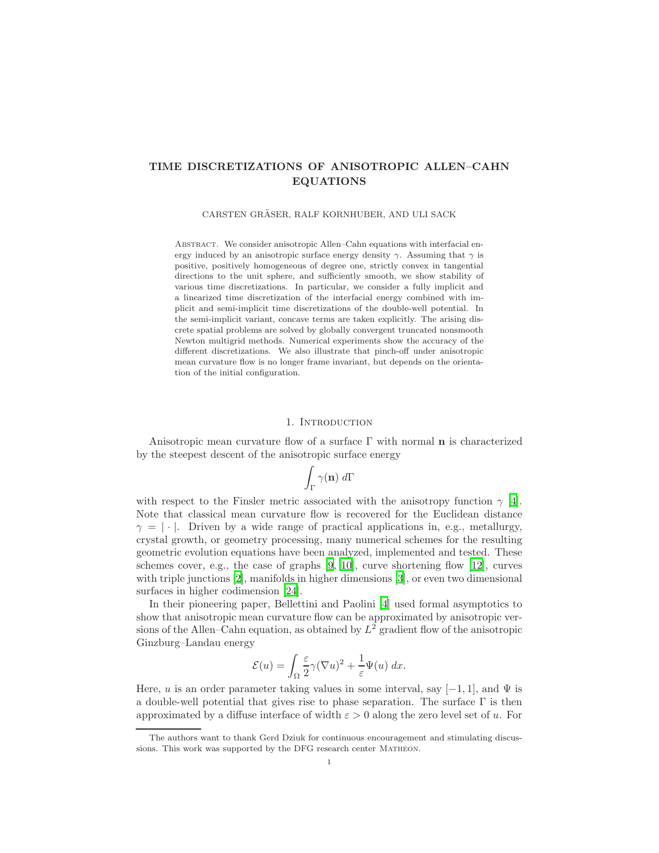## TIME DISCRETIZATIONS OF ANISOTROPIC ALLEN–CAHN EQUATIONS

CARSTEN GRASER, RALF KORNHUBER, AND ULI SACK ¨

ABSTRACT. We consider anisotropic Allen–Cahn equations with interfacial energy induced by an anisotropic surface energy density  $\gamma$ . Assuming that  $\gamma$  is positive, positively homogeneous of degree one, strictly convex in tangential directions to the unit sphere, and sufficiently smooth, we show stability of various time discretizations. In particular, we consider a fully implicit and a linearized time discretization of the interfacial energy combined with implicit and semi-implicit time discretizations of the double-well potential. In the semi-implicit variant, concave terms are taken explicitly. The arising discrete spatial problems are solved by globally convergent truncated nonsmooth Newton multigrid methods. Numerical experiments show the accuracy of the different discretizations. We also illustrate that pinch-off under anisotropic mean curvature flow is no longer frame invariant, but depends on the orientation of the initial configuration.

### 1. INTRODUCTION

Anisotropic mean curvature flow of a surface  $\Gamma$  with normal **n** is characterized by the steepest descent of the anisotropic surface energy

$$
\int_{\Gamma} \gamma(\mathbf{n}) \; d\Gamma
$$

with respect to the Finsler metric associated with the anisotropy function  $\gamma$  [\[4\]](#page-15-0). Note that classical mean curvature flow is recovered for the Euclidean distance  $\gamma = |\cdot|$ . Driven by a wide range of practical applications in, e.g., metallurgy, crystal growth, or geometry processing, many numerical schemes for the resulting geometric evolution equations have been analyzed, implemented and tested. These schemes cover, e.g., the case of graphs  $[9, 10]$  $[9, 10]$ , curve shortening flow  $[12]$ , curves with triple junctions [\[2](#page-15-4)], manifolds in higher dimensions [\[3\]](#page-15-5), or even two dimensional surfaces in higher codimension [\[24\]](#page-16-0).

In their pioneering paper, Bellettini and Paolini [\[4](#page-15-0)] used formal asymptotics to show that anisotropic mean curvature flow can be approximated by anisotropic versions of the Allen–Cahn equation, as obtained by  $L^2$  gradient flow of the anisotropic Ginzburg–Landau energy

$$
\mathcal{E}(u) = \int_{\Omega} \frac{\varepsilon}{2} \gamma (\nabla u)^2 + \frac{1}{\varepsilon} \Psi(u) \, dx.
$$

Here, u is an order parameter taking values in some interval, say  $[-1, 1]$ , and  $\Psi$  is a double-well potential that gives rise to phase separation. The surface  $\Gamma$  is then approximated by a diffuse interface of width  $\varepsilon > 0$  along the zero level set of u. For

The authors want to thank Gerd Dziuk for continuous encouragement and stimulating discussions. This work was supported by the DFG research center Matheon.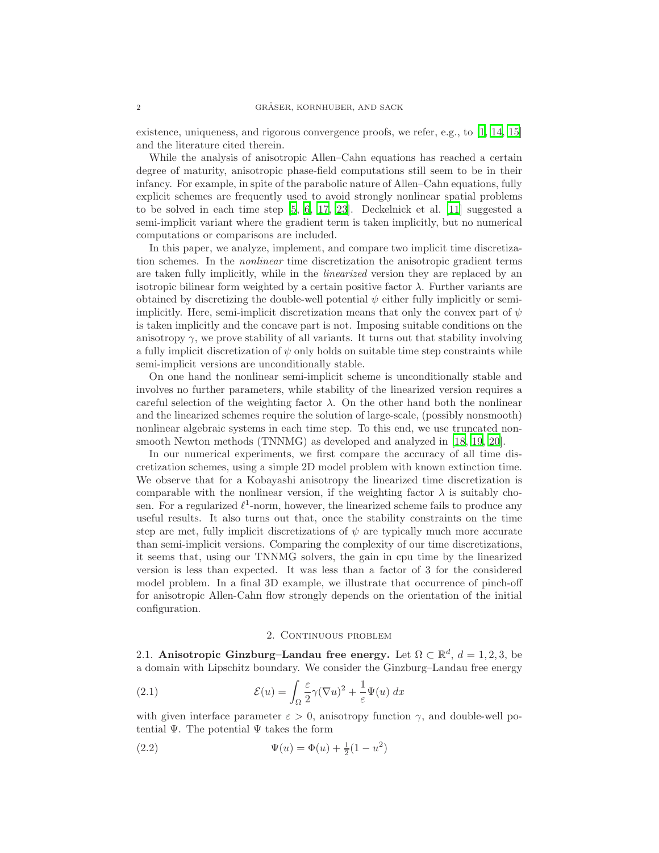existence, uniqueness, and rigorous convergence proofs, we refer, e.g., to [\[1,](#page-14-0) [14,](#page-15-6) [15\]](#page-15-7) and the literature cited therein.

While the analysis of anisotropic Allen–Cahn equations has reached a certain degree of maturity, anisotropic phase-field computations still seem to be in their infancy. For example, in spite of the parabolic nature of Allen–Cahn equations, fully explicit schemes are frequently used to avoid strongly nonlinear spatial problems to be solved in each time step [\[5,](#page-15-8) [6](#page-15-9), [17,](#page-15-10) [23\]](#page-15-11). Deckelnick et al. [\[11](#page-15-12)] suggested a semi-implicit variant where the gradient term is taken implicitly, but no numerical computations or comparisons are included.

In this paper, we analyze, implement, and compare two implicit time discretization schemes. In the nonlinear time discretization the anisotropic gradient terms are taken fully implicitly, while in the linearized version they are replaced by an isotropic bilinear form weighted by a certain positive factor  $\lambda$ . Further variants are obtained by discretizing the double-well potential  $\psi$  either fully implicitly or semiimplicitly. Here, semi-implicit discretization means that only the convex part of  $\psi$ is taken implicitly and the concave part is not. Imposing suitable conditions on the anisotropy  $\gamma$ , we prove stability of all variants. It turns out that stability involving a fully implicit discretization of  $\psi$  only holds on suitable time step constraints while semi-implicit versions are unconditionally stable.

On one hand the nonlinear semi-implicit scheme is unconditionally stable and involves no further parameters, while stability of the linearized version requires a careful selection of the weighting factor  $\lambda$ . On the other hand both the nonlinear and the linearized schemes require the solution of large-scale, (possibly nonsmooth) nonlinear algebraic systems in each time step. To this end, we use truncated nonsmooth Newton methods (TNNMG) as developed and analyzed in [\[18](#page-15-13), [19,](#page-15-14) [20\]](#page-15-15).

In our numerical experiments, we first compare the accuracy of all time discretization schemes, using a simple 2D model problem with known extinction time. We observe that for a Kobayashi anisotropy the linearized time discretization is comparable with the nonlinear version, if the weighting factor  $\lambda$  is suitably chosen. For a regularized  $\ell^1$ -norm, however, the linearized scheme fails to produce any useful results. It also turns out that, once the stability constraints on the time step are met, fully implicit discretizations of  $\psi$  are typically much more accurate than semi-implicit versions. Comparing the complexity of our time discretizations, it seems that, using our TNNMG solvers, the gain in cpu time by the linearized version is less than expected. It was less than a factor of 3 for the considered model problem. In a final 3D example, we illustrate that occurrence of pinch-off for anisotropic Allen-Cahn flow strongly depends on the orientation of the initial configuration.

#### 2. CONTINUOUS PROBLEM

2.1. Anisotropic Ginzburg–Landau free energy. Let  $\Omega \subset \mathbb{R}^d$ ,  $d = 1, 2, 3$ , be a domain with Lipschitz boundary. We consider the Ginzburg–Landau free energy

<span id="page-1-0"></span>(2.1) 
$$
\mathcal{E}(u) = \int_{\Omega} \frac{\varepsilon}{2} \gamma (\nabla u)^2 + \frac{1}{\varepsilon} \Psi(u) dx
$$

with given interface parameter  $\varepsilon > 0$ , anisotropy function  $\gamma$ , and double-well potential  $\Psi$ . The potential  $\Psi$  takes the form

<span id="page-1-1"></span>(2.2) 
$$
\Psi(u) = \Phi(u) + \frac{1}{2}(1 - u^2)
$$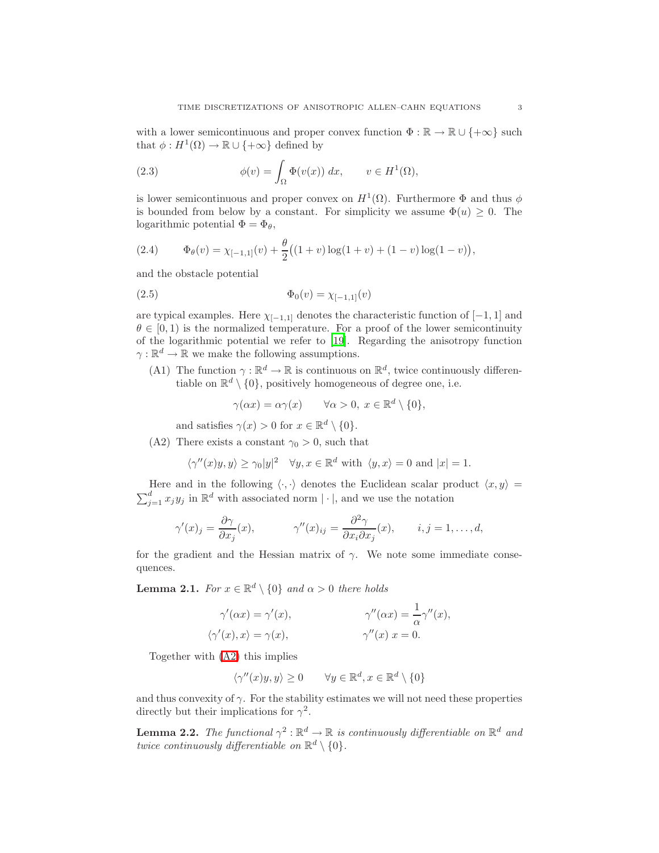with a lower semicontinuous and proper convex function  $\Phi : \mathbb{R} \to \mathbb{R} \cup \{+\infty\}$  such that  $\phi: H^1(\Omega) \to \mathbb{R} \cup \{+\infty\}$  defined by

<span id="page-2-2"></span>(2.3) 
$$
\phi(v) = \int_{\Omega} \Phi(v(x)) dx, \qquad v \in H^1(\Omega),
$$

is lower semicontinuous and proper convex on  $H^1(\Omega)$ . Furthermore  $\Phi$  and thus  $\phi$ is bounded from below by a constant. For simplicity we assume  $\Phi(u) \geq 0$ . The logarithmic potential  $\Phi = \Phi_{\theta}$ ,

<span id="page-2-3"></span>(2.4) 
$$
\Phi_{\theta}(v) = \chi_{[-1,1]}(v) + \frac{\theta}{2} \big( (1+v) \log(1+v) + (1-v) \log(1-v) \big),
$$

and the obstacle potential

<span id="page-2-4"></span>(2.5) 
$$
\Phi_0(v) = \chi_{[-1,1]}(v)
$$

<span id="page-2-1"></span>are typical examples. Here  $\chi_{[-1,1]}$  denotes the characteristic function of  $[-1,1]$  and  $\theta \in [0, 1)$  is the normalized temperature. For a proof of the lower semicontinuity of the logarithmic potential we refer to [\[19\]](#page-15-14). Regarding the anisotropy function  $\gamma:\mathbb{R}^d\to\mathbb{R}$  we make the following assumptions.

(A1) The function  $\gamma : \mathbb{R}^d \to \mathbb{R}$  is continuous on  $\mathbb{R}^d$ , twice continuously differentiable on  $\mathbb{R}^d \setminus \{0\}$ , positively homogeneous of degree one, i.e.

$$
\gamma(\alpha x) = \alpha \gamma(x) \qquad \forall \alpha > 0, \ x \in \mathbb{R}^d \setminus \{0\},
$$

and satisfies  $\gamma(x) > 0$  for  $x \in \mathbb{R}^d \setminus \{0\}.$ 

<span id="page-2-0"></span>(A2) There exists a constant  $\gamma_0 > 0$ , such that

$$
\langle \gamma''(x)y, y \rangle \ge \gamma_0 |y|^2 \quad \forall y, x \in \mathbb{R}^d \text{ with } \langle y, x \rangle = 0 \text{ and } |x| = 1.
$$

Here and in the following  $\langle \cdot, \cdot \rangle$  denotes the Euclidean scalar product  $\langle x, y \rangle =$  $\sum_{j=1}^{d} x_j y_j$  in  $\mathbb{R}^d$  with associated norm  $|\cdot|$ , and we use the notation

$$
\gamma'(x)_j = \frac{\partial \gamma}{\partial x_j}(x), \qquad \gamma''(x)_{ij} = \frac{\partial^2 \gamma}{\partial x_i \partial x_j}(x), \qquad i, j = 1, \dots, d,
$$

for the gradient and the Hessian matrix of  $\gamma$ . We note some immediate consequences.

**Lemma 2.1.** For  $x \in \mathbb{R}^d \setminus \{0\}$  and  $\alpha > 0$  there holds

$$
\gamma'(\alpha x) = \gamma'(x), \qquad \gamma''(\alpha x) = \frac{1}{\alpha} \gamma''(x), \langle \gamma'(x), x \rangle = \gamma(x), \qquad \gamma''(x) \ x = 0.
$$

Together with [\(A2\)](#page-2-0) this implies

$$
\langle \gamma''(x)y, y \rangle \ge 0 \qquad \forall y \in \mathbb{R}^d, x \in \mathbb{R}^d \setminus \{0\}
$$

and thus convexity of  $\gamma$ . For the stability estimates we will not need these properties directly but their implications for  $\gamma^2$ .

**Lemma 2.2.** The functional  $\gamma^2 : \mathbb{R}^d \to \mathbb{R}$  is continuously differentiable on  $\mathbb{R}^d$  and twice continuously differentiable on  $\mathbb{R}^d \setminus \{0\}$ .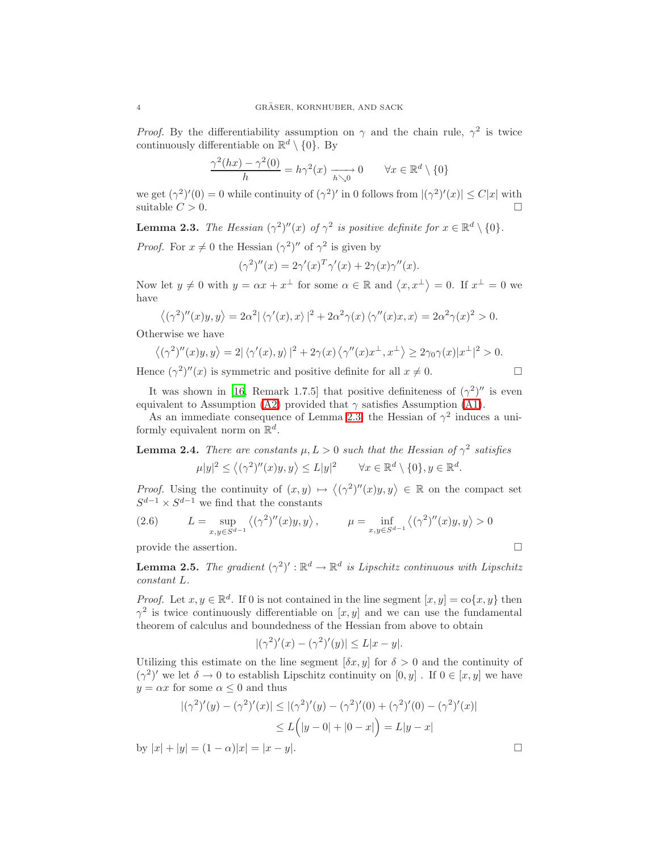*Proof.* By the differentiability assumption on  $\gamma$  and the chain rule,  $\gamma^2$  is twice continuously differentiable on  $\mathbb{R}^d \setminus \{0\}$ . By

$$
\frac{\gamma^2(hx) - \gamma^2(0)}{h} = h\gamma^2(x) \xrightarrow[h \searrow 0]{} 0 \qquad \forall x \in \mathbb{R}^d \setminus \{0\}
$$

<span id="page-3-0"></span>we get  $(\gamma^2)'(0) = 0$  while continuity of  $(\gamma^2)'$  in 0 follows from  $|(\gamma^2)'(x)| \le C|x|$  with suitable  $C > 0$ .

**Lemma 2.3.** The Hessian  $(\gamma^2)''(x)$  of  $\gamma^2$  is positive definite for  $x \in \mathbb{R}^d \setminus \{0\}$ .

*Proof.* For  $x \neq 0$  the Hessian  $(\gamma^2)''$  of  $\gamma^2$  is given by

$$
(\gamma^2)''(x) = 2\gamma'(x)^T \gamma'(x) + 2\gamma(x)\gamma''(x).
$$

Now let  $y \neq 0$  with  $y = \alpha x + x^{\perp}$  for some  $\alpha \in \mathbb{R}$  and  $\langle x, x^{\perp} \rangle = 0$ . If  $x^{\perp} = 0$  we have

$$
\langle (\gamma^2)''(x)y, y \rangle = 2\alpha^2 |\langle \gamma'(x), x \rangle|^2 + 2\alpha^2 \gamma(x) \langle \gamma''(x)x, x \rangle = 2\alpha^2 \gamma(x)^2 > 0.
$$

Otherwise we have

$$
\left\langle (\gamma^2)''(x)y, y \right\rangle = 2|\left\langle \gamma'(x), y \right\rangle|^2 + 2\gamma(x)\left\langle \gamma''(x)x^\perp, x^\perp \right\rangle \geq 2\gamma_0\gamma(x)|x^\perp|^2 > 0.
$$

Hence  $(\gamma^2)''(x)$  is symmetric and positive definite for all  $x \neq 0$ .

$$
\Box
$$

It was shown in [\[16](#page-15-16), Remark 1.7.5] that positive definiteness of  $(\gamma^2)''$  is even equivalent to Assumption [\(A2\)](#page-2-0) provided that  $\gamma$  satisfies Assumption [\(A1\)](#page-2-1).

As an immediate consequence of Lemma [2.3,](#page-3-0) the Hessian of  $\gamma^2$  induces a uniformly equivalent norm on  $\mathbb{R}^d$ .

**Lemma 2.4.** There are constants  $\mu$ ,  $L > 0$  such that the Hessian of  $\gamma^2$  satisfies  $|\mu|y|^2 \le \langle (\gamma^2)''(x)y, y \rangle \le L|y|^2 \quad \forall x \in \mathbb{R}^d \setminus \{0\}, y \in \mathbb{R}^d.$ 

*Proof.* Using the continuity of  $(x, y) \mapsto \langle (\gamma^2)''(x)y, y \rangle \in \mathbb{R}$  on the compact set  $S^{d-1} \times S^{d-1}$  we find that the constants

<span id="page-3-2"></span>(2.6) 
$$
L = \sup_{x,y \in S^{d-1}} \langle (\gamma^2)''(x)y, y \rangle, \qquad \mu = \inf_{x,y \in S^{d-1}} \langle (\gamma^2)''(x)y, y \rangle > 0
$$

provide the assertion.  $\Box$ 

<span id="page-3-1"></span>**Lemma 2.5.** The gradient  $(\gamma^2)' : \mathbb{R}^d \to \mathbb{R}^d$  is Lipschitz continuous with Lipschitz constant L.

*Proof.* Let  $x, y \in \mathbb{R}^d$ . If 0 is not contained in the line segment  $[x, y] = \text{co}\{x, y\}$  then  $\gamma^2$  is twice continuously differentiable on  $[x, y]$  and we can use the fundamental theorem of calculus and boundedness of the Hessian from above to obtain

$$
|(\gamma^2)'(x) - (\gamma^2)'(y)| \le L|x - y|.
$$

Utilizing this estimate on the line segment  $[\delta x, y]$  for  $\delta > 0$  and the continuity of  $(\gamma^2)'$  we let  $\delta \to 0$  to establish Lipschitz continuity on  $[0, y]$ . If  $0 \in [x, y]$  we have  $y = \alpha x$  for some  $\alpha \leq 0$  and thus

$$
|(\gamma^2)'(y) - (\gamma^2)'(x)| \le |(\gamma^2)'(y) - (\gamma^2)'(0) + (\gamma^2)'(0) - (\gamma^2)'(x)|
$$
  

$$
\le L(|y - 0| + |0 - x|) = L|y - x|
$$

by  $|x| + |y| = (1 - \alpha)|x| = |x - y|$ .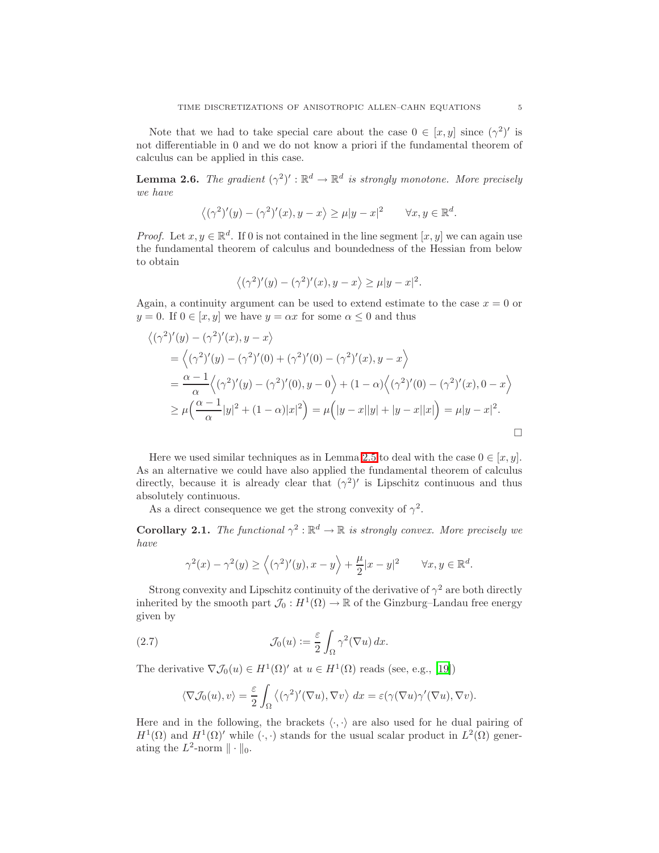Note that we had to take special care about the case  $0 \in [x, y]$  since  $(\gamma^2)'$  is not differentiable in 0 and we do not know a priori if the fundamental theorem of calculus can be applied in this case.

**Lemma 2.6.** The gradient  $(\gamma^2)' : \mathbb{R}^d \to \mathbb{R}^d$  is strongly monotone. More precisely we have

$$
\langle (\gamma^2)'(y) - (\gamma^2)'(x), y - x \rangle \ge \mu |y - x|^2 \qquad \forall x, y \in \mathbb{R}^d.
$$

*Proof.* Let  $x, y \in \mathbb{R}^d$ . If 0 is not contained in the line segment  $[x, y]$  we can again use the fundamental theorem of calculus and boundedness of the Hessian from below to obtain

$$
\langle (\gamma^2)'(y) - (\gamma^2)'(x), y - x \rangle \ge \mu |y - x|^2.
$$

Again, a continuity argument can be used to extend estimate to the case  $x = 0$  or  $y = 0$ . If  $0 \in [x, y]$  we have  $y = \alpha x$  for some  $\alpha \leq 0$  and thus

$$
\begin{aligned}\n\left\langle (\gamma^2)'(y) - (\gamma^2)'(x), y - x \right\rangle \\
&= \left\langle (\gamma^2)'(y) - (\gamma^2)'(0) + (\gamma^2)'(0) - (\gamma^2)'(x), y - x \right\rangle \\
&= \frac{\alpha - 1}{\alpha} \left\langle (\gamma^2)'(y) - (\gamma^2)'(0), y - 0 \right\rangle + (1 - \alpha) \left\langle (\gamma^2)'(0) - (\gamma^2)'(x), 0 - x \right\rangle \\
&\ge \mu \left( \frac{\alpha - 1}{\alpha} |y|^2 + (1 - \alpha) |x|^2 \right) = \mu \left( |y - x| |y| + |y - x| |x| \right) = \mu |y - x|^2.\n\end{aligned}
$$

Here we used similar techniques as in Lemma [2.5](#page-3-1) to deal with the case  $0 \in [x, y]$ . As an alternative we could have also applied the fundamental theorem of calculus directly, because it is already clear that  $(\gamma^2)'$  is Lipschitz continuous and thus absolutely continuous.

As a direct consequence we get the strong convexity of  $\gamma^2$ .

**Corollary 2.1.** The functional  $\gamma^2 : \mathbb{R}^d \to \mathbb{R}$  is strongly convex. More precisely we have

$$
\gamma^2(x)-\gamma^2(y)\geq \Big\langle(\gamma^2)'(y),x-y\Big\rangle+\frac{\mu}{2}|x-y|^2\qquad \forall x,y\in \mathbb{R}^d.
$$

Strong convexity and Lipschitz continuity of the derivative of  $\gamma^2$  are both directly inherited by the smooth part  $\mathcal{J}_0: H^1(\Omega) \to \mathbb{R}$  of the Ginzburg–Landau free energy given by

<span id="page-4-1"></span>(2.7) 
$$
\mathcal{J}_0(u) := \frac{\varepsilon}{2} \int_{\Omega} \gamma^2(\nabla u) \, dx.
$$

The derivative  $\nabla \mathcal{J}_0(u) \in H^1(\Omega)'$  at  $u \in H^1(\Omega)$  reads (see, e.g., [\[19](#page-15-14)])

$$
\langle \nabla \mathcal{J}_0(u), v \rangle = \frac{\varepsilon}{2} \int_{\Omega} \langle (\gamma^2)'(\nabla u), \nabla v \rangle \, dx = \varepsilon(\gamma(\nabla u) \gamma'(\nabla u), \nabla v).
$$

<span id="page-4-0"></span>Here and in the following, the brackets  $\langle \cdot, \cdot \rangle$  are also used for he dual pairing of  $H^1(\Omega)$  and  $H^1(\Omega)'$  while  $(\cdot, \cdot)$  stands for the usual scalar product in  $L^2(\Omega)$  generating the  $L^2$ -norm  $\|\cdot\|_0$ .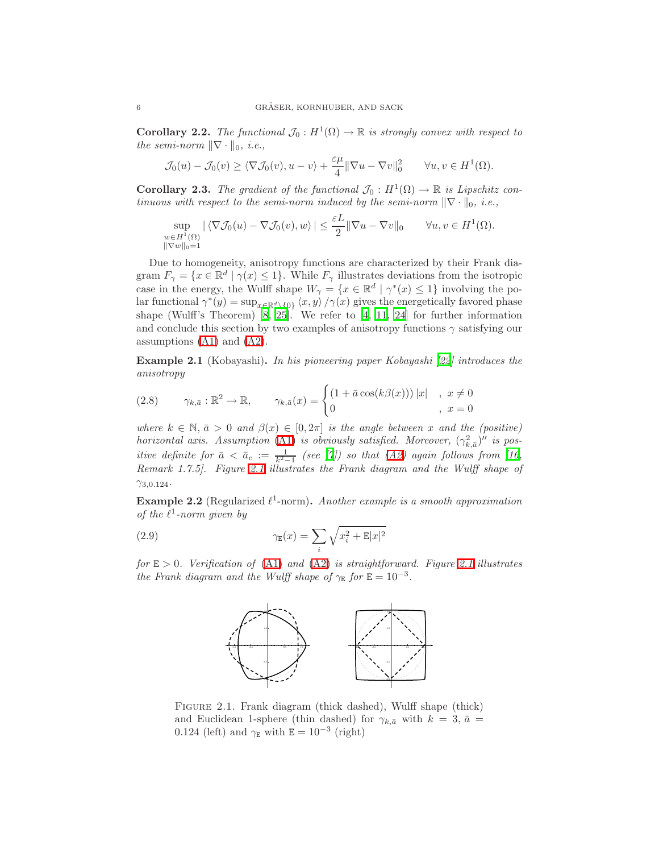**Corollary 2.2.** The functional  $\mathcal{J}_0: H^1(\Omega) \to \mathbb{R}$  is strongly convex with respect to the semi-norm  $\|\nabla \cdot \|_0$ , i.e.,

$$
\mathcal{J}_0(u) - \mathcal{J}_0(v) \ge \langle \nabla \mathcal{J}_0(v), u - v \rangle + \frac{\varepsilon \mu}{4} || \nabla u - \nabla v ||_0^2 \qquad \forall u, v \in H^1(\Omega).
$$

<span id="page-5-1"></span>**Corollary 2.3.** The gradient of the functional  $\mathcal{J}_0 : H^1(\Omega) \to \mathbb{R}$  is Lipschitz continuous with respect to the semi-norm induced by the semi-norm  $\|\nabla \cdot \|_0$ , i.e.,

$$
\sup_{\substack{w \in H^1(\Omega) \\ ||\nabla w||_0 = 1}} |\langle \nabla \mathcal{J}_0(u) - \nabla \mathcal{J}_0(v), w \rangle| \le \frac{\varepsilon L}{2} ||\nabla u - \nabla v||_0 \quad \forall u, v \in H^1(\Omega).
$$

Due to homogeneity, anisotropy functions are characterized by their Frank diagram  $F_{\gamma} = \{x \in \mathbb{R}^d \mid \gamma(x) \leq 1\}$ . While  $F_{\gamma}$  illustrates deviations from the isotropic case in the energy, the Wulff shape  $W_{\gamma} = \{x \in \mathbb{R}^d \mid \gamma^*(x) \leq 1\}$  involving the polar functional  $\gamma^*(y) = \sup_{x \in \mathbb{R}^d \setminus \{0\}} \langle x, y \rangle / \gamma(x)$  gives the energetically favored phase shape (Wulff's Theorem)  $[8, 25]$  $[8, 25]$ . We refer to  $[4, 11, 24]$  $[4, 11, 24]$  $[4, 11, 24]$  for further information and conclude this section by two examples of anisotropy functions  $\gamma$  satisfying our assumptions [\(A1\)](#page-2-1) and [\(A2\)](#page-2-0).

<span id="page-5-2"></span>Example 2.1 (Kobayashi). In his pioneering paper Kobayashi [\[22](#page-15-18)] introduces the anisotropy

(2.8) 
$$
\gamma_{k,\bar{a}} : \mathbb{R}^2 \to \mathbb{R}, \qquad \gamma_{k,\bar{a}}(x) = \begin{cases} (1 + \bar{a}\cos(k\beta(x))) |x|, & x \neq 0 \\ 0, & x = 0 \end{cases}
$$

where  $k \in \mathbb{N}, \bar{a} > 0$  and  $\beta(x) \in [0, 2\pi]$  is the angle between x and the (positive) horizontal axis. Assumption [\(A1\)](#page-2-1) is obviously satisfied. Moreover,  $(\gamma_{k,\bar{a}}^2)''$  is positive definite for  $\bar{a} < \bar{a}_c := \frac{1}{k^2-1}$  (see [\[7\]](#page-15-19)) so that [\(A2\)](#page-2-0) again follows from [\[16](#page-15-16), Remark 1.7.5]. Figure [2.1](#page-5-0) illustrates the Frank diagram and the Wulff shape of  $\gamma_{3,0.124}$ .

<span id="page-5-3"></span>**Example 2.2** (Regularized  $\ell^1$ -norm). Another example is a smooth approximation of the  $\ell^1$ -norm given by

<span id="page-5-0"></span>(2.9) 
$$
\gamma_{\mathbb{E}}(x) = \sum_{i} \sqrt{x_i^2 + \mathbb{E}|x|^2}
$$

for  $E > 0$ . Verification of [\(A1\)](#page-2-1) and [\(A2\)](#page-2-0) is straightforward. Figure [2.1](#page-5-0) illustrates the Frank diagram and the Wulff shape of  $\gamma_E$  for  $E = 10^{-3}$ .



Figure 2.1. Frank diagram (thick dashed), Wulff shape (thick) and Euclidean 1-sphere (thin dashed) for  $\gamma_{k,\bar{a}}$  with  $k = 3, \bar{a} =$ 0.124 (left) and  $\gamma_{\rm E}$  with  $\dot{\rm E} = 10^{-3}$  (right)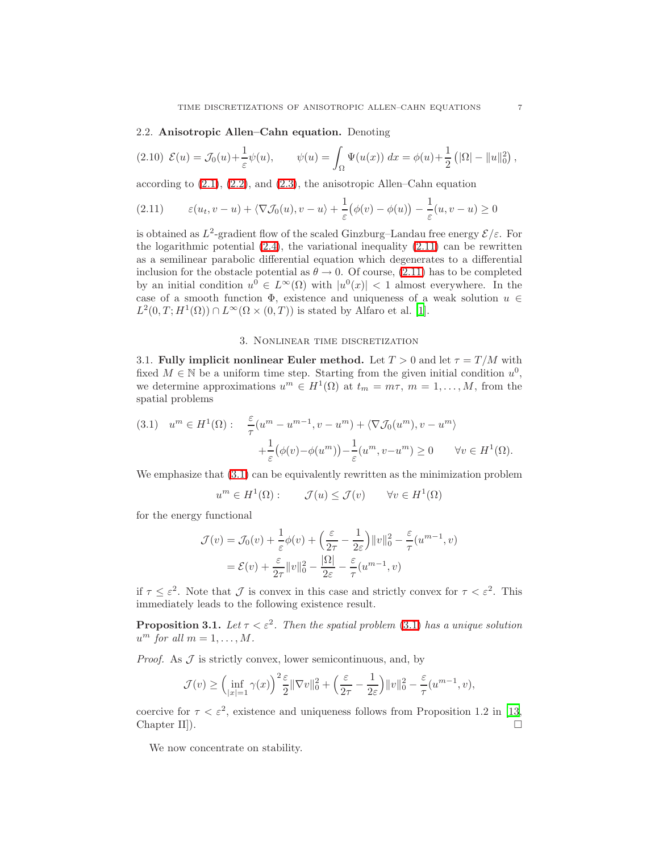### 2.2. Anisotropic Allen–Cahn equation. Denoting

<span id="page-6-2"></span>
$$
(2.10) \mathcal{E}(u) = \mathcal{J}_0(u) + \frac{1}{\varepsilon} \psi(u), \qquad \psi(u) = \int_{\Omega} \Psi(u(x)) \, dx = \phi(u) + \frac{1}{2} \left( |\Omega| - \|u\|_0^2 \right),
$$

according to [\(2.1\)](#page-1-0), [\(2.2\)](#page-1-1), and [\(2.3\)](#page-2-2), the anisotropic Allen–Cahn equation

<span id="page-6-0"></span>
$$
(2.11) \qquad \varepsilon(u_t, v - u) + \langle \nabla \mathcal{J}_0(u), v - u \rangle + \frac{1}{\varepsilon} \big( \phi(v) - \phi(u) \big) - \frac{1}{\varepsilon}(u, v - u) \ge 0
$$

is obtained as  $L^2$ -gradient flow of the scaled Ginzburg–Landau free energy  $\mathcal{E}/\varepsilon$ . For the logarithmic potential  $(2.4)$ , the variational inequality  $(2.11)$  can be rewritten as a semilinear parabolic differential equation which degenerates to a differential inclusion for the obstacle potential as  $\theta \to 0$ . Of course, [\(2.11\)](#page-6-0) has to be completed by an initial condition  $u^0 \in L^{\infty}(\Omega)$  with  $|u^0(x)| < 1$  almost everywhere. In the case of a smooth function  $\Phi$ , existence and uniqueness of a weak solution  $u \in$  $L^2(0,T;H^1(\Omega)) \cap L^\infty(\Omega \times (0,T))$  is stated by Alfaro et al. [\[1\]](#page-14-0).

### 3. Nonlinear time discretization

<span id="page-6-6"></span><span id="page-6-5"></span>3.1. Fully implicit nonlinear Euler method. Let  $T > 0$  and let  $\tau = T/M$  with fixed  $M \in \mathbb{N}$  be a uniform time step. Starting from the given initial condition  $u^0$ , we determine approximations  $u^m \in H^1(\Omega)$  at  $t_m = m\tau$ ,  $m = 1, \ldots, M$ , from the spatial problems

<span id="page-6-1"></span>(3.1) 
$$
u^m \in H^1(\Omega)
$$
:  $\frac{\varepsilon}{\tau}(u^m - u^{m-1}, v - u^m) + \langle \nabla \mathcal{J}_0(u^m), v - u^m \rangle$   
  $+ \frac{1}{\varepsilon} (\phi(v) - \phi(u^m)) - \frac{1}{\varepsilon}(u^m, v - u^m) \ge 0 \quad \forall v \in H^1(\Omega).$ 

We emphasize that  $(3.1)$  can be equivalently rewritten as the minimization problem

$$
u^m \in H^1(\Omega)
$$
:  $\mathcal{J}(u) \leq \mathcal{J}(v)$   $\forall v \in H^1(\Omega)$ 

for the energy functional

$$
\mathcal{J}(v) = \mathcal{J}_0(v) + \frac{1}{\varepsilon}\phi(v) + \left(\frac{\varepsilon}{2\tau} - \frac{1}{2\varepsilon}\right) ||v||_0^2 - \frac{\varepsilon}{\tau}(u^{m-1}, v)
$$

$$
= \mathcal{E}(v) + \frac{\varepsilon}{2\tau} ||v||_0^2 - \frac{|\Omega|}{2\varepsilon} - \frac{\varepsilon}{\tau}(u^{m-1}, v)
$$

<span id="page-6-4"></span>if  $\tau \leq \varepsilon^2$ . Note that  $\mathcal J$  is convex in this case and strictly convex for  $\tau < \varepsilon^2$ . This immediately leads to the following existence result.

**Proposition 3.1.** Let  $\tau < \varepsilon^2$ . Then the spatial problem [\(3.1\)](#page-6-1) has a unique solution  $u^m$  for all  $m = 1, \ldots, M$ .

*Proof.* As  $J$  is strictly convex, lower semicontinuous, and, by

$$
\mathcal{J}(v) \ge \left(\inf_{|x|=1} \gamma(x)\right)^2 \frac{\varepsilon}{2} \|\nabla v\|_0^2 + \left(\frac{\varepsilon}{2\tau} - \frac{1}{2\varepsilon}\right) \|v\|_0^2 - \frac{\varepsilon}{\tau} (u^{m-1}, v),
$$

<span id="page-6-3"></span>coercive for  $\tau < \varepsilon^2$ , existence and uniqueness follows from Proposition 1.2 in [\[13,](#page-15-20) Chapter II]).

We now concentrate on stability.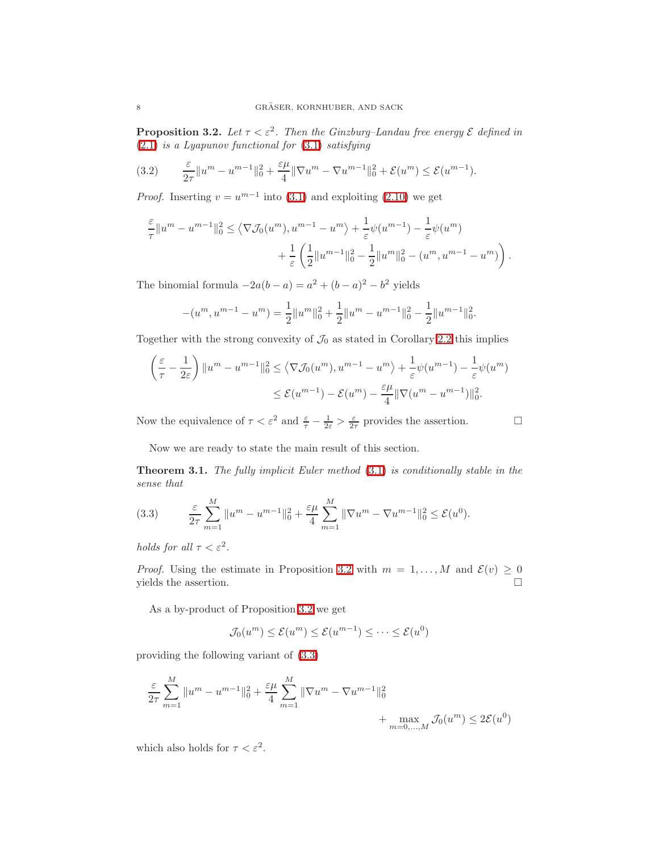**Proposition 3.2.** Let  $\tau < \varepsilon^2$ . Then the Ginzburg–Landau free energy  $\varepsilon$  defined in [\(2.1\)](#page-1-0) is a Lyapunov functional for [\(3.1\)](#page-6-1) satisfying

<span id="page-7-1"></span>
$$
(3.2) \qquad \frac{\varepsilon}{2\tau} \|u^m - u^{m-1}\|_0^2 + \frac{\varepsilon\mu}{4} \|\nabla u^m - \nabla u^{m-1}\|_0^2 + \mathcal{E}(u^m) \le \mathcal{E}(u^{m-1}).
$$

*Proof.* Inserting  $v = u^{m-1}$  into [\(3.1\)](#page-6-1) and exploiting [\(2.10\)](#page-6-2) we get

$$
\frac{\varepsilon}{\tau} \|u^m - u^{m-1}\|_0^2 \le \left\langle \nabla \mathcal{J}_0(u^m), u^{m-1} - u^m \right\rangle + \frac{1}{\varepsilon} \psi(u^{m-1}) - \frac{1}{\varepsilon} \psi(u^m) \n+ \frac{1}{\varepsilon} \left( \frac{1}{2} \|u^{m-1}\|_0^2 - \frac{1}{2} \|u^m\|_0^2 - (u^m, u^{m-1} - u^m) \right).
$$

The binomial formula  $-2a(b-a) = a^2 + (b-a)^2 - b^2$  yields

$$
-(u^m, u^{m-1} - u^m) = \frac{1}{2} ||u^m||_0^2 + \frac{1}{2} ||u^m - u^{m-1}||_0^2 - \frac{1}{2} ||u^{m-1}||_0^2.
$$

Together with the strong convexity of  $\mathcal{J}_0$  as stated in Corollary [2.2](#page-4-0) this implies

$$
\left(\frac{\varepsilon}{\tau} - \frac{1}{2\varepsilon}\right) \|u^m - u^{m-1}\|_0^2 \le \langle \nabla \mathcal{J}_0(u^m), u^{m-1} - u^m \rangle + \frac{1}{\varepsilon} \psi(u^{m-1}) - \frac{1}{\varepsilon} \psi(u^m) \le \mathcal{E}(u^{m-1}) - \mathcal{E}(u^m) - \frac{\varepsilon \mu}{4} \|\nabla(u^m - u^{m-1})\|_0^2.
$$

Now the equivalence of  $\tau < \varepsilon^2$  and  $\frac{\varepsilon}{\tau} - \frac{1}{2\varepsilon} > \frac{\varepsilon}{2\tau}$  provides the assertion.

Now we are ready to state the main result of this section.

<span id="page-7-2"></span>**Theorem 3.1.** The fully implicit Euler method  $(3.1)$  is conditionally stable in the sense that

<span id="page-7-0"></span>(3.3) 
$$
\frac{\varepsilon}{2\tau} \sum_{m=1}^{M} ||u^m - u^{m-1}||_0^2 + \frac{\varepsilon \mu}{4} \sum_{m=1}^{M} ||\nabla u^m - \nabla u^{m-1}||_0^2 \le \mathcal{E}(u^0).
$$

holds for all  $\tau < \varepsilon^2$ .

*Proof.* Using the estimate in Proposition [3.2](#page-6-3) with  $m = 1, ..., M$  and  $\mathcal{E}(v) \ge 0$  vields the assertion. yields the assertion.

As a by-product of Proposition [3.2](#page-6-3) we get

$$
\mathcal{J}_0(u^m) \le \mathcal{E}(u^m) \le \mathcal{E}(u^{m-1}) \le \dots \le \mathcal{E}(u^0)
$$

providing the following variant of [\(3.3\)](#page-7-0)

$$
\frac{\varepsilon}{2\tau} \sum_{m=1}^{M} \|u^{m} - u^{m-1}\|_{0}^{2} + \frac{\varepsilon\mu}{4} \sum_{m=1}^{M} \|\nabla u^{m} - \nabla u^{m-1}\|_{0}^{2} + \max_{m=0,...,M} \mathcal{J}_{0}(u^{m}) \leq 2\mathcal{E}(u^{0})
$$

which also holds for  $\tau < \varepsilon^2$ .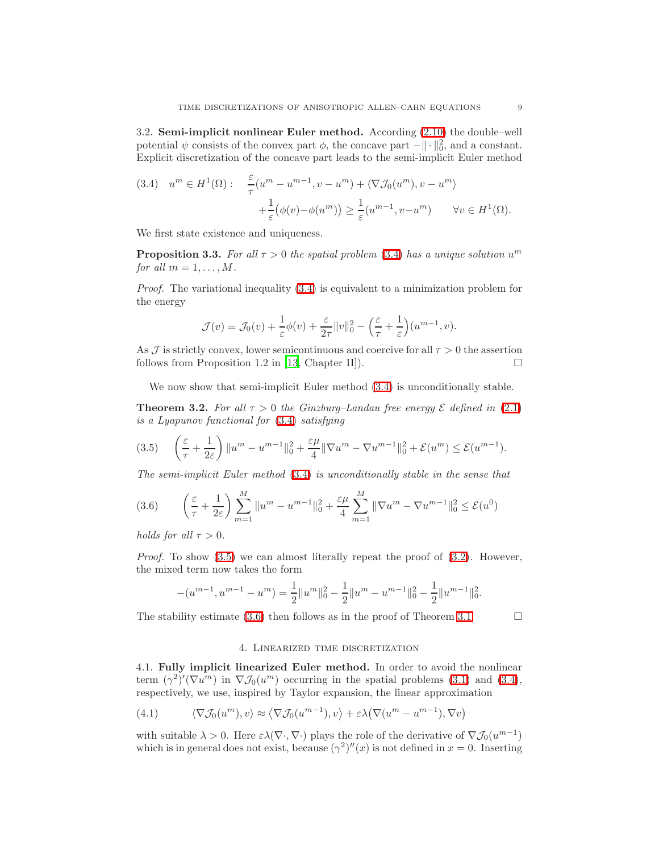<span id="page-8-7"></span>3.2. Semi-implicit nonlinear Euler method. According [\(2.10\)](#page-6-2) the double–well potential  $\psi$  consists of the convex part  $\phi$ , the concave part  $-\|\cdot\|_0^2$ , and a constant. Explicit discretization of the concave part leads to the semi-implicit Euler method

<span id="page-8-0"></span>(3.4) 
$$
u^m \in H^1(\Omega): \quad \frac{\varepsilon}{\tau}(u^m - u^{m-1}, v - u^m) + \langle \nabla \mathcal{J}_0(u^m), v - u^m \rangle + \frac{1}{\varepsilon}(\phi(v) - \phi(u^m)) \ge \frac{1}{\varepsilon}(u^{m-1}, v - u^m) \quad \forall v \in H^1(\Omega).
$$

<span id="page-8-4"></span>We first state existence and uniqueness.

**Proposition 3.3.** For all  $\tau > 0$  the spatial problem [\(3.4\)](#page-8-0) has a unique solution  $u^m$ for all  $m = 1, \ldots, M$ .

Proof. The variational inequality [\(3.4\)](#page-8-0) is equivalent to a minimization problem for the energy

$$
\mathcal{J}(v) = \mathcal{J}_0(v) + \frac{1}{\varepsilon}\phi(v) + \frac{\varepsilon}{2\tau}||v||_0^2 - \left(\frac{\varepsilon}{\tau} + \frac{1}{\varepsilon}\right)(u^{m-1}, v).
$$

As  $\mathcal J$  is strictly convex, lower semicontinuous and coercive for all  $\tau > 0$  the assertion follows from Proposition 1.2 in [13] Chapter II] follows from Proposition 1.2 in [\[13,](#page-15-20) Chapter II]).

We now show that semi-implicit Euler method  $(3.4)$  is unconditionally stable.

<span id="page-8-5"></span>**Theorem 3.2.** For all  $\tau > 0$  the Ginzburg–Landau free energy  $\mathcal{E}$  defined in [\(2.1\)](#page-1-0) is a Lyapunov functional for [\(3.4\)](#page-8-0) satisfying

<span id="page-8-1"></span>
$$
(3.5) \qquad \left(\frac{\varepsilon}{\tau} + \frac{1}{2\varepsilon}\right) \|u^m - u^{m-1}\|_0^2 + \frac{\varepsilon\mu}{4} \|\nabla u^m - \nabla u^{m-1}\|_0^2 + \mathcal{E}(u^m) \le \mathcal{E}(u^{m-1}).
$$

The semi-implicit Euler method [\(3.4\)](#page-8-0) is unconditionally stable in the sense that

<span id="page-8-2"></span>
$$
(3.6) \qquad \left(\frac{\varepsilon}{\tau} + \frac{1}{2\varepsilon}\right) \sum_{m=1}^{M} \|u^{m} - u^{m-1}\|_{0}^{2} + \frac{\varepsilon\mu}{4} \sum_{m=1}^{M} \|\nabla u^{m} - \nabla u^{m-1}\|_{0}^{2} \le \mathcal{E}(u^{0})
$$

holds for all  $\tau > 0$ .

*Proof.* To show  $(3.5)$  we can almost literally repeat the proof of  $(3.2)$ . However, the mixed term now takes the form

$$
-(u^{m-1},u^{m-1}-u^m)=\frac{1}{2}\|u^m\|_0^2-\frac{1}{2}\|u^m-u^{m-1}\|_0^2-\frac{1}{2}\|u^{m-1}\|_0^2.
$$

<span id="page-8-6"></span>The stability estimate [\(3.6\)](#page-8-2) then follows as in the proof of Theorem [3.1.](#page-7-2)  $\Box$ 

# 4. Linearized time discretization

<span id="page-8-8"></span>4.1. Fully implicit linearized Euler method. In order to avoid the nonlinear term  $(\gamma^2)'(\nabla u^m)$  in  $\nabla \mathcal{J}_0(u^m)$  occurring in the spatial problems [\(3.1\)](#page-6-1) and [\(3.4\)](#page-8-0), respectively, we use, inspired by Taylor expansion, the linear approximation

<span id="page-8-3"></span>(4.1) 
$$
\langle \nabla \mathcal{J}_0(u^m), v \rangle \approx \langle \nabla \mathcal{J}_0(u^{m-1}), v \rangle + \varepsilon \lambda (\nabla (u^m - u^{m-1}), \nabla v)
$$

with suitable  $\lambda > 0$ . Here  $\varepsilon \lambda (\nabla \cdot, \nabla \cdot)$  plays the role of the derivative of  $\nabla \mathcal{J}_0(u^{m-1})$ which is in general does not exist, because  $(\gamma^2)''(x)$  is not defined in  $x = 0$ . Inserting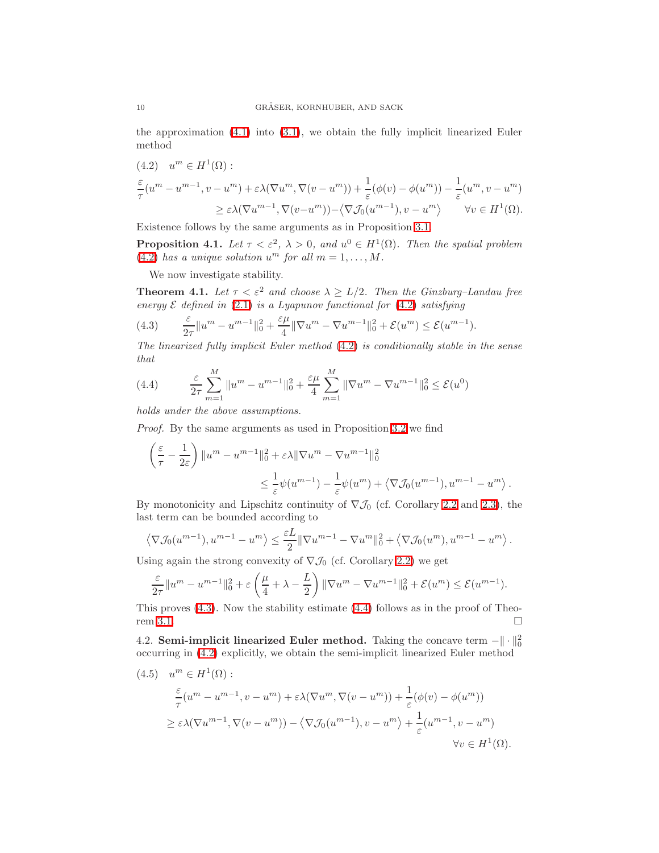the approximation [\(4.1\)](#page-8-3) into [\(3.1\)](#page-6-1), we obtain the fully implicit linearized Euler method

<span id="page-9-0"></span>
$$
(4.2) \quad u^m \in H^1(\Omega):
$$
  
\n
$$
\frac{\varepsilon}{\tau}(u^m - u^{m-1}, v - u^m) + \varepsilon \lambda (\nabla u^m, \nabla (v - u^m)) + \frac{1}{\varepsilon}(\phi(v) - \phi(u^m)) - \frac{1}{\varepsilon}(u^m, v - u^m)
$$
  
\n
$$
\geq \varepsilon \lambda (\nabla u^{m-1}, \nabla (v - u^m)) - \langle \nabla \mathcal{J}_0(u^{m-1}), v - u^m \rangle \qquad \forall v \in H^1(\Omega).
$$

Existence follows by the same arguments as in Proposition [3.1.](#page-6-4)

**Proposition 4.1.** Let  $\tau < \varepsilon^2$ ,  $\lambda > 0$ , and  $u^0 \in H^1(\Omega)$ . Then the spatial problem [\(4.2\)](#page-9-0) has a unique solution  $u^m$  for all  $m = 1, ..., M$ .

We now investigate stability.

<span id="page-9-4"></span>**Theorem 4.1.** Let  $\tau < \varepsilon^2$  and choose  $\lambda \geq L/2$ . Then the Ginzburg–Landau free energy  $\mathcal E$  defined in [\(2.1\)](#page-1-0) is a Lyapunov functional for [\(4.2\)](#page-9-0) satisfying

<span id="page-9-1"></span>(4.3) 
$$
\frac{\varepsilon}{2\tau} \|u^m - u^{m-1}\|_0^2 + \frac{\varepsilon\mu}{4} \|\nabla u^m - \nabla u^{m-1}\|_0^2 + \mathcal{E}(u^m) \le \mathcal{E}(u^{m-1}).
$$

The linearized fully implicit Euler method [\(4.2\)](#page-9-0) is conditionally stable in the sense that

<span id="page-9-2"></span>(4.4) 
$$
\frac{\varepsilon}{2\tau} \sum_{m=1}^{M} ||u^m - u^{m-1}||_0^2 + \frac{\varepsilon \mu}{4} \sum_{m=1}^{M} ||\nabla u^m - \nabla u^{m-1}||_0^2 \le \mathcal{E}(u^0)
$$

holds under the above assumptions.

Proof. By the same arguments as used in Proposition [3.2](#page-6-3) we find

$$
\left(\frac{\varepsilon}{\tau} - \frac{1}{2\varepsilon}\right) \|u^m - u^{m-1}\|_0^2 + \varepsilon \lambda \|\nabla u^m - \nabla u^{m-1}\|_0^2
$$
  

$$
\leq \frac{1}{\varepsilon} \psi(u^{m-1}) - \frac{1}{\varepsilon} \psi(u^m) + \langle \nabla \mathcal{J}_0(u^{m-1}), u^{m-1} - u^m \rangle.
$$

By monotonicity and Lipschitz continuity of  $\nabla \mathcal{J}_0$  (cf. Corollary [2.2](#page-4-0) and [2.3\)](#page-5-1), the last term can be bounded according to

$$
\left\langle \nabla \mathcal{J}_0(u^{m-1}), u^{m-1} - u^m \right\rangle \le \frac{\varepsilon L}{2} \|\nabla u^{m-1} - \nabla u^m\|_0^2 + \left\langle \nabla \mathcal{J}_0(u^m), u^{m-1} - u^m \right\rangle.
$$

Using again the strong convexity of  $\nabla \mathcal{J}_0$  (cf. Corollary [2.2\)](#page-4-0) we get

$$
\frac{\varepsilon}{2\tau}||u^m - u^{m-1}||_0^2 + \varepsilon \left(\frac{\mu}{4} + \lambda - \frac{L}{2}\right) ||\nabla u^m - \nabla u^{m-1}||_0^2 + \mathcal{E}(u^m) \le \mathcal{E}(u^{m-1}).
$$

This proves [\(4.3\)](#page-9-1). Now the stability estimate [\(4.4\)](#page-9-2) follows as in the proof of Theo-rem [3.1.](#page-7-2)

<span id="page-9-5"></span>4.2. Semi-implicit linearized Euler method. Taking the concave term  $-\|\cdot\|^2_0$ occurring in [\(4.2\)](#page-9-0) explicitly, we obtain the semi-implicit linearized Euler method

<span id="page-9-3"></span>(4.5) 
$$
u^m \in H^1(\Omega)
$$
:  
\n
$$
\frac{\varepsilon}{\tau}(u^m - u^{m-1}, v - u^m) + \varepsilon \lambda (\nabla u^m, \nabla (v - u^m)) + \frac{1}{\varepsilon}(\phi(v) - \phi(u^m))
$$
\n
$$
\geq \varepsilon \lambda (\nabla u^{m-1}, \nabla (v - u^m)) - \langle \nabla \mathcal{J}_0(u^{m-1}), v - u^m \rangle + \frac{1}{\varepsilon}(u^{m-1}, v - u^m)
$$
\n
$$
\forall v \in H^1(\Omega).
$$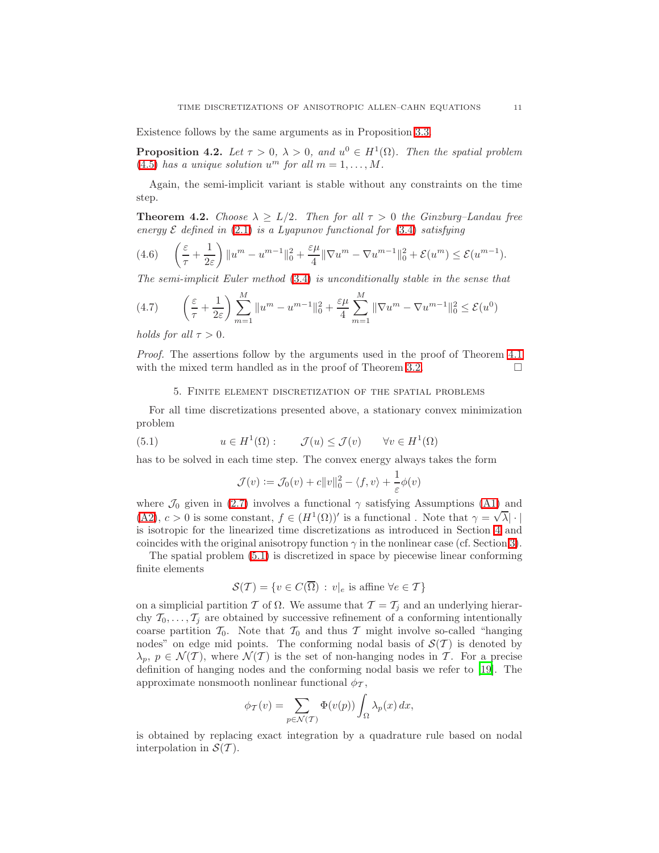Existence follows by the same arguments as in Proposition [3.3.](#page-8-4)

**Proposition 4.2.** Let  $\tau > 0$ ,  $\lambda > 0$ , and  $u^0 \in H^1(\Omega)$ . Then the spatial problem [\(4.5\)](#page-9-3) has a unique solution  $u^m$  for all  $m = 1, ..., M$ .

Again, the semi-implicit variant is stable without any constraints on the time step.

**Theorem 4.2.** Choose  $\lambda \geq L/2$ . Then for all  $\tau > 0$  the Ginzburg–Landau free energy  $\mathcal E$  defined in [\(2.1\)](#page-1-0) is a Lyapunov functional for [\(3.4\)](#page-8-0) satisfying

$$
(4.6)\qquad \left(\frac{\varepsilon}{\tau} + \frac{1}{2\varepsilon}\right) \|u^m - u^{m-1}\|_0^2 + \frac{\varepsilon \mu}{4} \|\nabla u^m - \nabla u^{m-1}\|_0^2 + \mathcal{E}(u^m) \le \mathcal{E}(u^{m-1}).
$$

The semi-implicit Euler method [\(3.4\)](#page-8-0) is unconditionally stable in the sense that

(4.7) 
$$
\left(\frac{\varepsilon}{\tau} + \frac{1}{2\varepsilon}\right) \sum_{m=1}^{M} \|u^{m} - u^{m-1}\|_{0}^{2} + \frac{\varepsilon\mu}{4} \sum_{m=1}^{M} \|\nabla u^{m} - \nabla u^{m-1}\|_{0}^{2} \le \mathcal{E}(u^{0})
$$

holds for all  $\tau > 0$ .

Proof. The assertions follow by the arguments used in the proof of Theorem [4.1](#page-9-4) with the mixed term handled as in the proof of Theorem [3.2.](#page-8-5)  $\Box$ 

#### 5. Finite element discretization of the spatial problems

For all time discretizations presented above, a stationary convex minimization problem

<span id="page-10-0"></span>(5.1) 
$$
u \in H^1(\Omega)
$$
:  $\mathcal{J}(u) \leq \mathcal{J}(v) \quad \forall v \in H^1(\Omega)$ 

has to be solved in each time step. The convex energy always takes the form

$$
\mathcal{J}(v) := \mathcal{J}_0(v) + c||v||_0^2 - \langle f, v \rangle + \frac{1}{\varepsilon} \phi(v)
$$

where  $\mathcal{J}_0$  given in [\(2.7\)](#page-4-1) involves a functional  $\gamma$  satisfying Assumptions [\(A1\)](#page-2-1) and [\(A2\)](#page-2-0),  $c > 0$  is some constant,  $f \in (H^1(\Omega))'$  is a functional. Note that  $\gamma = \sqrt{\lambda} |\cdot|$ is isotropic for the linearized time discretizations as introduced in Section [4](#page-8-6) and coincides with the original anisotropy function  $\gamma$  in the nonlinear case (cf. Section [3\)](#page-6-5).

The spatial problem [\(5.1\)](#page-10-0) is discretized in space by piecewise linear conforming finite elements

$$
\mathcal{S}(\mathcal{T}) = \{ v \in C(\overline{\Omega}) : v|_e \text{ is affine } \forall e \in \mathcal{T} \}
$$

on a simplicial partition T of  $\Omega$ . We assume that  $\mathcal{T} = \mathcal{T}_i$  and an underlying hierarchy  $\mathcal{T}_0, \ldots, \mathcal{T}_j$  are obtained by successive refinement of a conforming intentionally coarse partition  $\mathcal{T}_0$ . Note that  $\mathcal{T}_0$  and thus  $\mathcal{T}$  might involve so-called "hanging nodes" on edge mid points. The conforming nodal basis of  $\mathcal{S}(\mathcal{T})$  is denoted by  $\lambda_p, p \in \mathcal{N}(\mathcal{T})$ , where  $\mathcal{N}(\mathcal{T})$  is the set of non-hanging nodes in T. For a precise definition of hanging nodes and the conforming nodal basis we refer to [\[19\]](#page-15-14). The approximate nonsmooth nonlinear functional  $\phi_{\mathcal{T}}$ ,

$$
\phi_{\mathcal{T}}(v) = \sum_{p \in \mathcal{N}(\mathcal{T})} \Phi(v(p)) \int_{\Omega} \lambda_p(x) dx,
$$

is obtained by replacing exact integration by a quadrature rule based on nodal interpolation in  $\mathcal{S}(\mathcal{T})$ .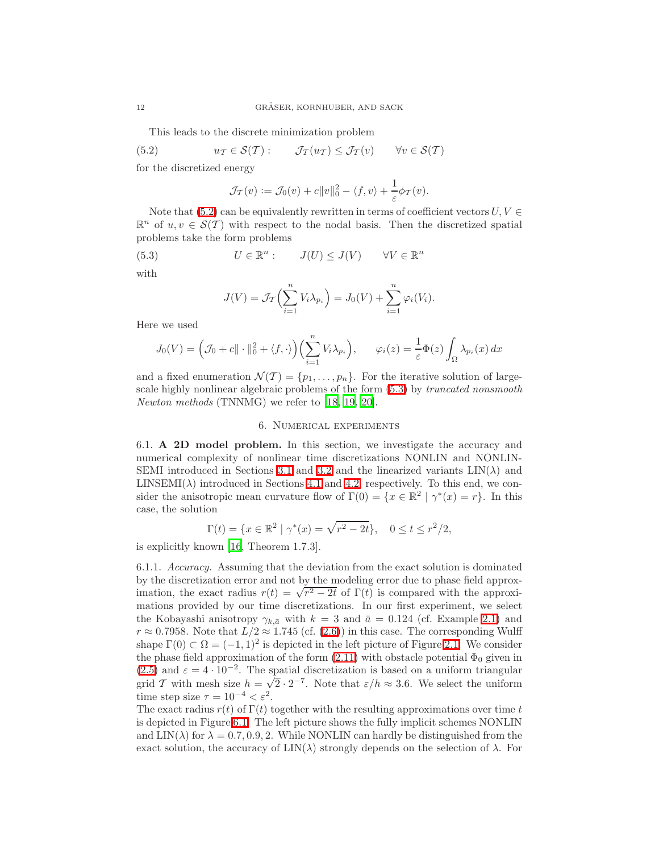This leads to the discrete minimization problem

<span id="page-11-0"></span>(5.2) 
$$
u_{\mathcal{T}} \in \mathcal{S}(\mathcal{T})
$$
:  $\mathcal{J}_{\mathcal{T}}(u_{\mathcal{T}}) \leq \mathcal{J}_{\mathcal{T}}(v) \quad \forall v \in \mathcal{S}(\mathcal{T})$ 

for the discretized energy

$$
\mathcal{J}_{\mathcal{T}}(v) := \mathcal{J}_0(v) + c||v||_0^2 - \langle f, v \rangle + \frac{1}{\varepsilon} \phi_{\mathcal{T}}(v).
$$

Note that [\(5.2\)](#page-11-0) can be equivalently rewritten in terms of coefficient vectors  $U, V \in$  $\mathbb{R}^n$  of  $u, v \in \mathcal{S}(\mathcal{T})$  with respect to the nodal basis. Then the discretized spatial problems take the form problems

<span id="page-11-1"></span>(5.3) 
$$
U \in \mathbb{R}^n: J(U) \leq J(V) \quad \forall V \in \mathbb{R}^n
$$

with

$$
J(V) = \mathcal{J}_{\mathcal{I}}\left(\sum_{i=1}^n V_i \lambda_{p_i}\right) = J_0(V) + \sum_{i=1}^n \varphi_i(V_i).
$$

Here we used

$$
J_0(V) = \left(\mathcal{J}_0 + c \|\cdot\|_0^2 + \langle f, \cdot \rangle\right) \left(\sum_{i=1}^n V_i \lambda_{p_i}\right), \qquad \varphi_i(z) = \frac{1}{\varepsilon} \Phi(z) \int_{\Omega} \lambda_{p_i}(x) dx
$$

and a fixed enumeration  $\mathcal{N}(\mathcal{T}) = \{p_1, \ldots, p_n\}$ . For the iterative solution of largescale highly nonlinear algebraic problems of the form [\(5.3\)](#page-11-1) by truncated nonsmooth Newton methods (TNNMG) we refer to [\[18,](#page-15-13) [19,](#page-15-14) [20\]](#page-15-15).

#### 6. Numerical experiments

6.1. A 2D model problem. In this section, we investigate the accuracy and numerical complexity of nonlinear time discretizations NONLIN and NONLIN-SEMI introduced in Sections [3.1](#page-6-6) and [3.2](#page-8-7) and the linearized variants  $LIN(\lambda)$  and  $LINSEMI(\lambda)$  introduced in Sections [4.1](#page-8-8) and [4.2,](#page-9-5) respectively. To this end, we consider the anisotropic mean curvature flow of  $\Gamma(0) = \{x \in \mathbb{R}^2 \mid \gamma^*(x) = r\}$ . In this case, the solution

$$
\Gamma(t) = \{ x \in \mathbb{R}^2 \mid \gamma^*(x) = \sqrt{r^2 - 2t} \}, \quad 0 \le t \le r^2/2,
$$

<span id="page-11-2"></span>is explicitly known [\[16](#page-15-16), Theorem 1.7.3].

6.1.1. Accuracy. Assuming that the deviation from the exact solution is dominated by the discretization error and not by the modeling error due to phase field approximation, the exact radius  $r(t) = \sqrt{r^2 - 2t}$  of  $\Gamma(t)$  is compared with the approximations provided by our time discretizations. In our first experiment, we select the Kobayashi anisotropy  $\gamma_{k,\bar{a}}$  with  $k = 3$  and  $\bar{a} = 0.124$  (cf. Example [2.1\)](#page-5-2) and  $r \approx 0.7958$ . Note that  $L/2 \approx 1.745$  (cf. [\(2.6\)](#page-3-2)) in this case. The corresponding Wulff shape  $\Gamma(0) \subset \Omega = (-1, 1)^2$  is depicted in the left picture of Figure [2.1.](#page-5-0) We consider the phase field approximation of the form  $(2.11)$  with obstacle potential  $\Phi_0$  given in [\(2.5\)](#page-2-4) and  $\varepsilon = 4 \cdot 10^{-2}$ . The spatial discretization is based on a uniform triangular grid T with mesh size  $h = \sqrt{2 \cdot 2^{-7}}$ . Note that  $\varepsilon/h \approx 3.6$ . We select the uniform time step size  $\tau = 10^{-4} < \varepsilon^2$ .

The exact radius  $r(t)$  of  $\Gamma(t)$  together with the resulting approximations over time t is depicted in Figure [6.1.](#page-12-0) The left picture shows the fully implicit schemes NONLIN and  $LIN(\lambda)$  for  $\lambda = 0.7, 0.9, 2$ . While NONLIN can hardly be distinguished from the exact solution, the accuracy of  $\text{LIN}(\lambda)$  strongly depends on the selection of  $\lambda$ . For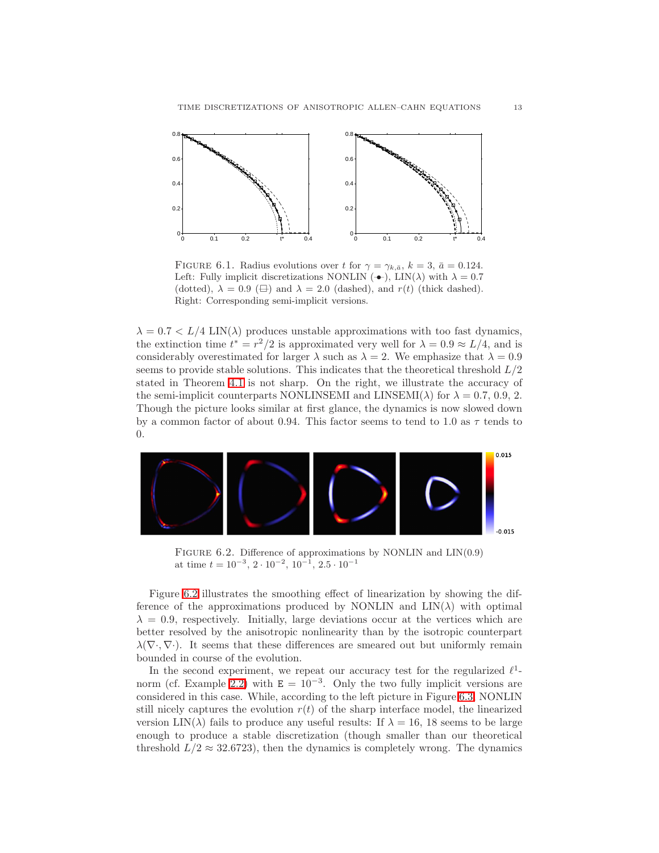

<span id="page-12-0"></span>FIGURE 6.1. Radius evolutions over t for  $\gamma = \gamma_{k,\bar{a}}, k = 3, \bar{a} = 0.124$ . Left: Fully implicit discretizations NONLIN ( $\rightarrow$ ), LIN( $\lambda$ ) with  $\lambda = 0.7$ (dotted),  $\lambda = 0.9 \ (\oplus)$  and  $\lambda = 2.0$  (dashed), and  $r(t)$  (thick dashed). Right: Corresponding semi-implicit versions.

 $\lambda = 0.7 < L/4$  LIN( $\lambda$ ) produces unstable approximations with too fast dynamics, the extinction time  $t^* = r^2/2$  is approximated very well for  $\lambda = 0.9 \approx L/4$ , and is considerably overestimated for larger  $\lambda$  such as  $\lambda = 2$ . We emphasize that  $\lambda = 0.9$ seems to provide stable solutions. This indicates that the theoretical threshold  $L/2$ stated in Theorem [4.1](#page-9-4) is not sharp. On the right, we illustrate the accuracy of the semi-implicit counterparts NONLINSEMI and  $LINKEMI(\lambda)$  for  $\lambda = 0.7, 0.9, 2$ . Though the picture looks similar at first glance, the dynamics is now slowed down by a common factor of about 0.94. This factor seems to tend to 1.0 as  $\tau$  tends to 0.



<span id="page-12-1"></span>FIGURE 6.2. Difference of approximations by NONLIN and  $LIN(0.9)$ at time  $t = 10^{-3}, 2 \cdot 10^{-2}, 10^{-1}, 2.5 \cdot 10^{-1}$ 

Figure [6.2](#page-12-1) illustrates the smoothing effect of linearization by showing the difference of the approximations produced by NONLIN and  $LIN(\lambda)$  with optimal  $\lambda = 0.9$ , respectively. Initially, large deviations occur at the vertices which are better resolved by the anisotropic nonlinearity than by the isotropic counterpart  $\lambda(\nabla\cdot,\nabla\cdot)$ . It seems that these differences are smeared out but uniformly remain bounded in course of the evolution.

In the second experiment, we repeat our accuracy test for the regularized  $\ell^1$ -norm (cf. Example [2.2\)](#page-5-3) with  $E = 10^{-3}$ . Only the two fully implicit versions are considered in this case. While, according to the left picture in Figure [6.3,](#page-13-0) NONLIN still nicely captures the evolution  $r(t)$  of the sharp interface model, the linearized version LIN( $\lambda$ ) fails to produce any useful results: If  $\lambda = 16$ , 18 seems to be large enough to produce a stable discretization (though smaller than our theoretical threshold  $L/2 \approx 32.6723$ , then the dynamics is completely wrong. The dynamics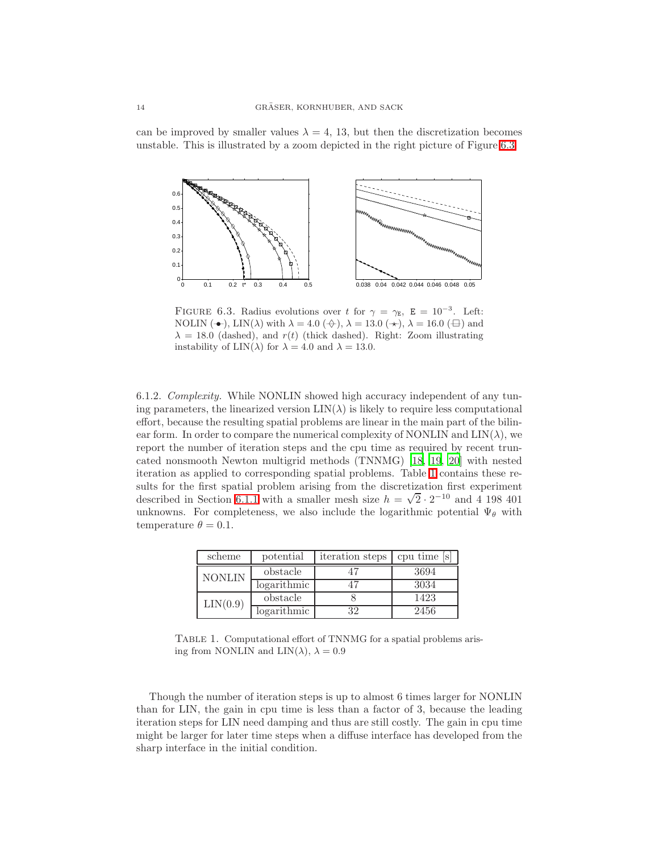can be improved by smaller values  $\lambda = 4, 13$ , but then the discretization becomes unstable. This is illustrated by a zoom depicted in the right picture of Figure [6.3.](#page-13-0)



<span id="page-13-0"></span>FIGURE 6.3. Radius evolutions over t for  $\gamma = \gamma_E$ ,  $E = 10^{-3}$ . Left: NOLIN ( $\rightarrow$ ), LIN( $\lambda$ ) with  $\lambda = 4.0$  ( $\leftrightarrow$ ),  $\lambda = 13.0$  ( $\leftrightarrow$ ),  $\lambda = 16.0$  ( $\leftrightarrow$ ) and  $\lambda = 18.0$  (dashed), and  $r(t)$  (thick dashed). Right: Zoom illustrating instability of  $\text{LIN}(\lambda)$  for  $\lambda = 4.0$  and  $\lambda = 13.0$ .

6.1.2. Complexity. While NONLIN showed high accuracy independent of any tuning parameters, the linearized version  $LIN(\lambda)$  is likely to require less computational effort, because the resulting spatial problems are linear in the main part of the bilinear form. In order to compare the numerical complexity of NONLIN and  $\text{LIN}(\lambda)$ , we report the number of iteration steps and the cpu time as required by recent truncated nonsmooth Newton multigrid methods (TNNMG) [\[18,](#page-15-13) [19](#page-15-14), [20](#page-15-15)] with nested iteration as applied to corresponding spatial problems. Table [1](#page-13-1) contains these results for the first spatial problem arising from the discretization first experiment described in Section [6.1.1](#page-11-2) with a smaller mesh size  $h = \sqrt{2} \cdot 2^{-10}$  and 4 198 401 unknowns. For completeness, we also include the logarithmic potential  $\Psi_{\theta}$  with temperature  $\theta = 0.1$ .

| scheme        | potential   | iteration steps | cpu time s |
|---------------|-------------|-----------------|------------|
| <b>NONLIN</b> | obstacle    |                 | 3694       |
|               | logarithmic |                 | 3034       |
| LIN(0.9)      | obstacle    |                 | 1423       |
|               | logarithmic | 39.             | 2456       |

<span id="page-13-1"></span>TABLE 1. Computational effort of TNNMG for a spatial problems arising from NONLIN and  $LIN(\lambda), \lambda = 0.9$ 

Though the number of iteration steps is up to almost 6 times larger for NONLIN than for LIN, the gain in cpu time is less than a factor of 3, because the leading iteration steps for LIN need damping and thus are still costly. The gain in cpu time might be larger for later time steps when a diffuse interface has developed from the sharp interface in the initial condition.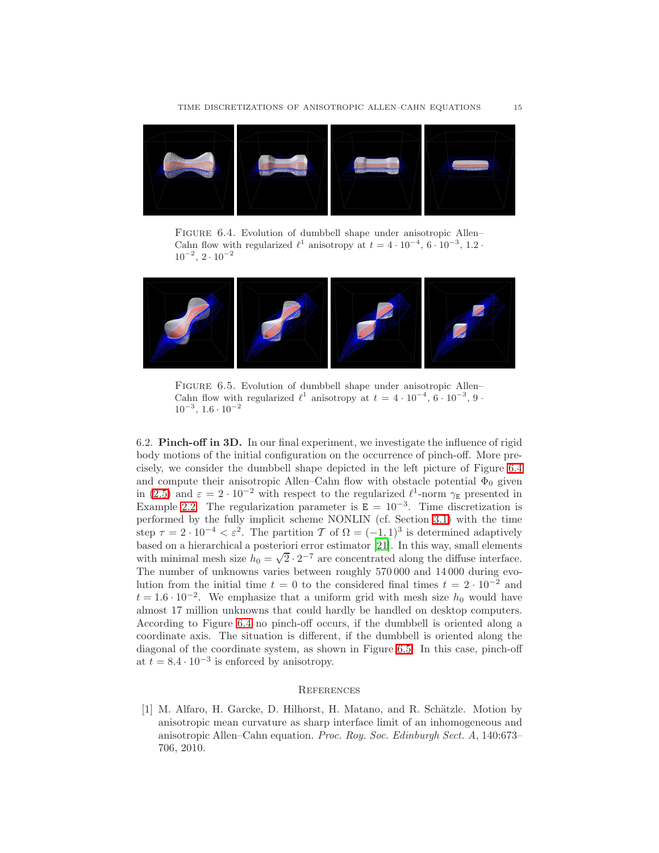

FIGURE 6.4. Evolution of dumbbell shape under anisotropic Allen– Cahn flow with regularized  $\ell^1$  anisotropy at  $t = 4 \cdot 10^{-4}$ ,  $6 \cdot 10^{-3}$ ,  $1.2 \cdot$  $10^{-2}$ ,  $2 \cdot 10^{-2}$ 

<span id="page-14-1"></span>

FIGURE 6.5. Evolution of dumbbell shape under anisotropic Allen– Cahn flow with regularized  $\ell^1$  anisotropy at  $t = 4 \cdot 10^{-4}$ ,  $6 \cdot 10^{-3}$ , 9.  $10^{-3}$ ,  $1.6 \cdot 10^{-2}$ 

<span id="page-14-2"></span>6.2. Pinch-off in 3D. In our final experiment, we investigate the influence of rigid body motions of the initial configuration on the occurrence of pinch-off. More precisely, we consider the dumbbell shape depicted in the left picture of Figure [6.4](#page-14-1) and compute their anisotropic Allen–Cahn flow with obstacle potential  $\Phi_0$  given in [\(2.5\)](#page-2-4) and  $\varepsilon = 2 \cdot 10^{-2}$  with respect to the regularized  $\ell^1$ -norm  $\gamma_E$  presented in Example [2.2.](#page-5-3) The regularization parameter is  $E = 10^{-3}$ . Time discretization is performed by the fully implicit scheme NONLIN (cf. Section [3.1\)](#page-6-6) with the time step  $\tau = 2 \cdot 10^{-4} < \varepsilon^2$ . The partition  $\mathcal{T}$  of  $\Omega = (-1, 1)^3$  is determined adaptively based on a hierarchical a posteriori error estimator [\[21](#page-15-21)]. In this way, small elements with minimal mesh size  $h_0 = \sqrt{2} \cdot 2^{-7}$  are concentrated along the diffuse interface. The number of unknowns varies between roughly 570 000 and 14 000 during evolution from the initial time  $t = 0$  to the considered final times  $t = 2 \cdot 10^{-2}$  and  $t = 1.6 \cdot 10^{-2}$ . We emphasize that a uniform grid with mesh size  $h_0$  would have almost 17 million unknowns that could hardly be handled on desktop computers. According to Figure [6.4](#page-14-1) no pinch-off occurs, if the dumbbell is oriented along a coordinate axis. The situation is different, if the dumbbell is oriented along the diagonal of the coordinate system, as shown in Figure [6.5.](#page-14-2) In this case, pinch-off at  $t = 8.4 \cdot 10^{-3}$  is enforced by anisotropy.

#### **REFERENCES**

<span id="page-14-0"></span>[1] M. Alfaro, H. Garcke, D. Hilhorst, H. Matano, and R. Schätzle. Motion by anisotropic mean curvature as sharp interface limit of an inhomogeneous and anisotropic Allen–Cahn equation. Proc. Roy. Soc. Edinburgh Sect. A, 140:673– 706, 2010.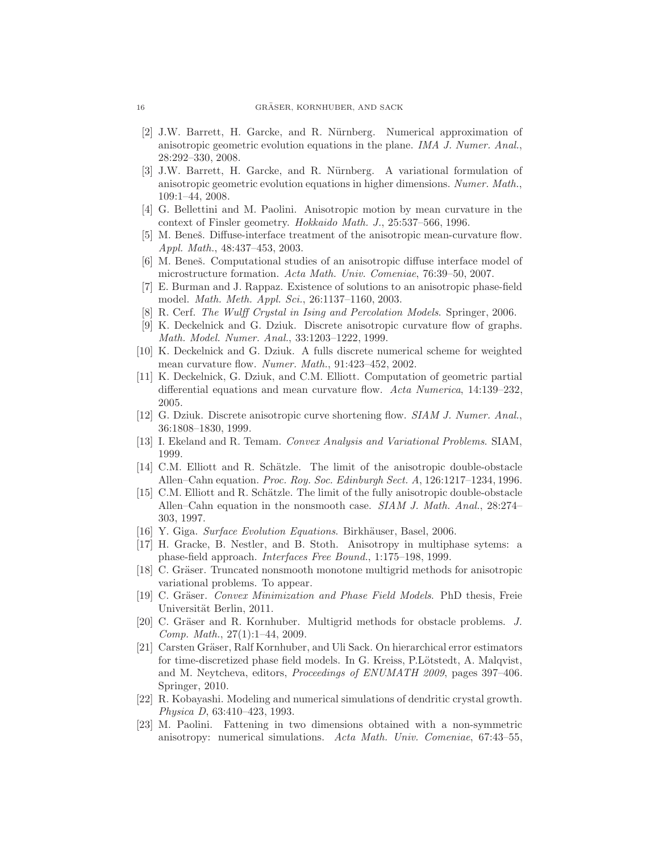- <span id="page-15-4"></span>[2] J.W. Barrett, H. Garcke, and R. N¨urnberg. Numerical approximation of anisotropic geometric evolution equations in the plane. IMA J. Numer. Anal., 28:292–330, 2008.
- <span id="page-15-5"></span>[3] J.W. Barrett, H. Garcke, and R. Nürnberg. A variational formulation of anisotropic geometric evolution equations in higher dimensions. Numer. Math., 109:1–44, 2008.
- <span id="page-15-0"></span>[4] G. Bellettini and M. Paolini. Anisotropic motion by mean curvature in the context of Finsler geometry. Hokkaido Math. J., 25:537–566, 1996.
- <span id="page-15-8"></span>[5] M. Beneš. Diffuse-interface treatment of the anisotropic mean-curvature flow. Appl. Math., 48:437–453, 2003.
- <span id="page-15-9"></span>[6] M. Beneš. Computational studies of an anisotropic diffuse interface model of microstructure formation. Acta Math. Univ. Comeniae, 76:39–50, 2007.
- <span id="page-15-19"></span>[7] E. Burman and J. Rappaz. Existence of solutions to an anisotropic phase-field model. Math. Meth. Appl. Sci., 26:1137–1160, 2003.
- <span id="page-15-17"></span>[8] R. Cerf. The Wulff Crystal in Ising and Percolation Models. Springer, 2006.
- <span id="page-15-1"></span>[9] K. Deckelnick and G. Dziuk. Discrete anisotropic curvature flow of graphs. Math. Model. Numer. Anal., 33:1203–1222, 1999.
- <span id="page-15-2"></span>[10] K. Deckelnick and G. Dziuk. A fulls discrete numerical scheme for weighted mean curvature flow. Numer. Math., 91:423-452, 2002.
- <span id="page-15-12"></span>[11] K. Deckelnick, G. Dziuk, and C.M. Elliott. Computation of geometric partial differential equations and mean curvature flow. Acta Numerica, 14:139–232, 2005.
- <span id="page-15-3"></span>[12] G. Dziuk. Discrete anisotropic curve shortening flow. SIAM J. Numer. Anal., 36:1808–1830, 1999.
- <span id="page-15-20"></span>[13] I. Ekeland and R. Temam. Convex Analysis and Variational Problems. SIAM, 1999.
- <span id="page-15-6"></span>[14] C.M. Elliott and R. Schätzle. The limit of the anisotropic double-obstacle Allen–Cahn equation. Proc. Roy. Soc. Edinburgh Sect. A, 126:1217–1234, 1996.
- <span id="page-15-7"></span>[15] C.M. Elliott and R. Schätzle. The limit of the fully anisotropic double-obstacle Allen–Cahn equation in the nonsmooth case. SIAM J. Math. Anal., 28:274– 303, 1997.
- <span id="page-15-16"></span>[16] Y. Giga. Surface Evolution Equations. Birkhäuser, Basel, 2006.
- <span id="page-15-10"></span>[17] H. Gracke, B. Nestler, and B. Stoth. Anisotropy in multiphase sytems: a phase-field approach. Interfaces Free Bound., 1:175–198, 1999.
- <span id="page-15-13"></span>[18] C. Gräser. Truncated nonsmooth monotone multigrid methods for anisotropic variational problems. To appear.
- <span id="page-15-14"></span>[19] C. Gräser. *Convex Minimization and Phase Field Models*. PhD thesis, Freie Universität Berlin, 2011.
- <span id="page-15-15"></span>[20] C. Gräser and R. Kornhuber. Multigrid methods for obstacle problems. J. Comp. Math., 27(1):1–44, 2009.
- <span id="page-15-21"></span>[21] Carsten Gräser, Ralf Kornhuber, and Uli Sack. On hierarchical error estimators for time-discretized phase field models. In G. Kreiss, P. Lötstedt, A. Malqvist, and M. Neytcheva, editors, Proceedings of ENUMATH 2009, pages 397–406. Springer, 2010.
- <span id="page-15-18"></span>[22] R. Kobayashi. Modeling and numerical simulations of dendritic crystal growth. Physica D, 63:410–423, 1993.
- <span id="page-15-11"></span>[23] M. Paolini. Fattening in two dimensions obtained with a non-symmetric anisotropy: numerical simulations. Acta Math. Univ. Comeniae, 67:43–55,